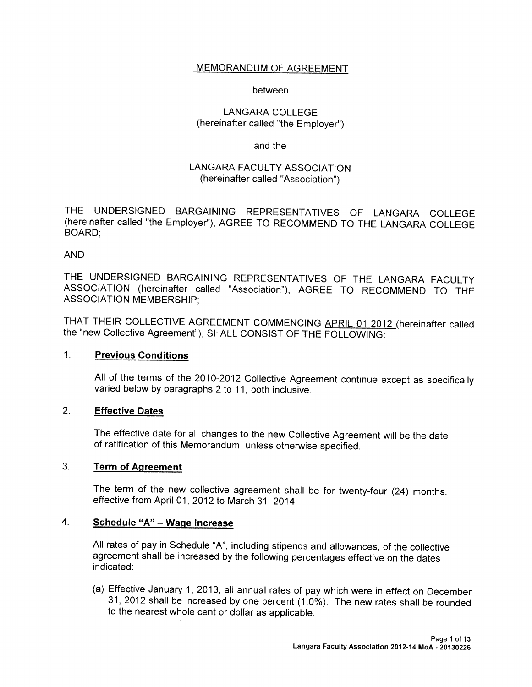## MEMORANDUM OF AGREEMENT

#### between

### LANGARA COLLEGE (hereinafter called "the Employer")

### and the

## LANGARA FACULTY ASSOCIATION (hereinafter called "Association')

THE UNDERSIGNED BARGAINING REPRESENTATIVES OF LANGARA COLLEGE (hereinafter called "the Employer"), AGREE TO RECOMMEND TO THE LANGARA COLLEGE BOARD;

### AND

THE UNDERSIGNED BARGAINING REPRESENTATIVES OF THE LANGARA FACULTY ASSOCIATION (hereinafter called "Association"), AGREE TO RECOMMEND TO THE ASSOCIATION MEMBERSHIP;

THAT THEIR COLLECTIVE AGREEMENT COMMENCING APRIL <sup>01</sup> <sup>2012</sup> (hereinafter called the "new Collective Agreement"), SHALL CONSIST OF THE FOLLOWING:

#### 1. Previous Conditions

All of the terms of the 2010-2012 Collective Agreement continue except as specifically varied below by paragraphs <sup>2</sup> to 11, both inclusive.

## 2. Effective Dates

The effective date for all changes to the new Collective Agreement will be the date of ratification of this Memorandum, unless otherwise specified.

#### 3. Term of Agreement

The term of the new collective agreement shall be for twenty-four (24) months, effective from April 01, 2012 to March 31, 2014.

## 4. <u>Schedule "A" – Wage Increase</u>

All rates of pay in Schedule "A", including stipends and allowances, of the collective agreement shall be increased by the following percentages effective on the dates indicated:

(a) Effective January 1, 2013, all annual rates of pay which were in effect on December 31, <sup>2012</sup> shall be increased by one percent (1.0%). The new rates shall be rounded to the nearest whole cent or dollar as applicable.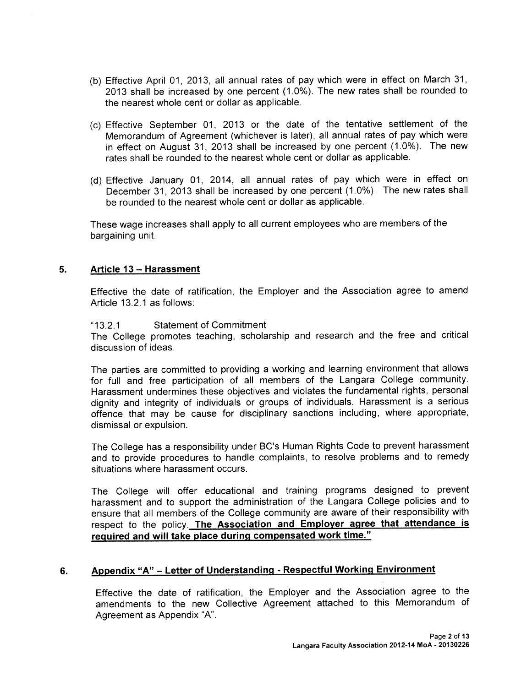- (b) Effective April 01, 2013, all annual rates of pay which were in effect on March 31, <sup>2013</sup> shall be increased by one percen<sup>t</sup> (10%). The new rates shall be rounded to the nearest whole cent or dollar as applicable.
- (C) Effective September 01, <sup>2013</sup> or the date of the tentative settlement of the Memorandum of Agreement (whichever is later), all annual rates of pay which were in effect on August 31, <sup>2013</sup> shall be increased by one percen<sup>t</sup> (1.0%). The new rates shall be rounded to the nearest whole cent or dollar as applicable.
- (d) Effective January 01, 2014, all annual rates of pay which were in effect on December 31, <sup>2013</sup> shall be increased by one percen<sup>t</sup> (1.0%). The new rates shall be rounded to the nearest whole cent or dollar as applicable.

These wage increases shall apply to all current employees who are members of the bargaining unit.

### 5. Article 13— Harassment

Effective the date of ratification, the Employer and the Association agree to amend Article 13.2.1 as follows:

#### "132.1 Statement of Commitment

The College promotes teaching, scholarship and research and the free and critical discussion of ideas.

The parties are committed to providing <sup>a</sup> working and learning environment that allows for full and free participation of all members of the Langara College community. Harassment undermines these objectives and violates the fundamental rights, persona<sup>l</sup> dignity and integrity of individuals or groups of individuals. Harassment is <sup>a</sup> serious offence that may be cause for disciplinary sanctions including, where appropriate, dismissal or expulsion.

The College has a responsibility under BC's Human Rights Code to prevent harassment and to provide procedures to handle complaints, to resolve problems and to remedy situations where harassment occurs.

The College will offer educational and training programs designed to preven<sup>t</sup> harassment and to suppor<sup>t</sup> the administration of the Langara College policies and to ensure that all members of the College community are aware of their responsibility with respec<sup>t</sup> to the policy. The Association and Employer agree that aftendance is required and will take place during compensated work time."

### 6. Appendix "A" – Letter of Understanding - Respectful Working Environment

Effective the date of ratification, the Employer and the Association agree to the amendments to the new Collective Agreement attached to this Memorandum of Agreement as Appendix "A".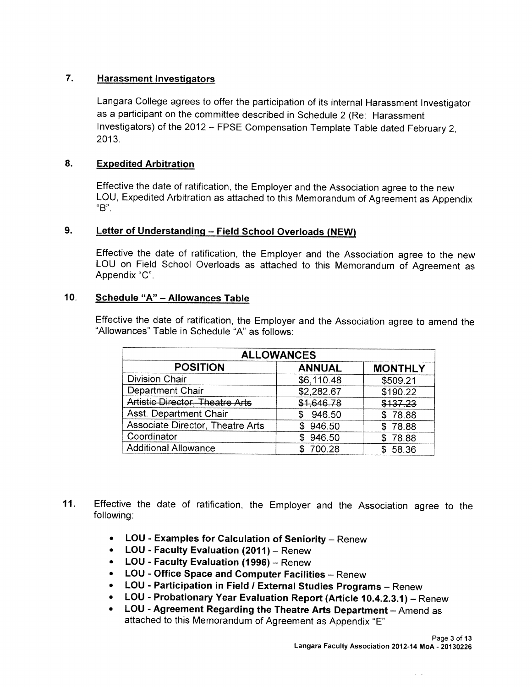# 7. Harassment Investigators

Langara College agrees to offer the participation of its internal Harassment Investigator as <sup>a</sup> participant on the committee described in Schedule <sup>2</sup> (Re: Harassment Investigators) of the <sup>2012</sup> — FPSE Compensation Template Table dated February 2, 2013.

# 8. Expedited Arbitration

Effective the date of ratification, the Employer and the Association agree to the new LOU, Expedited Arbitration as attached to this Memorandum of Agreement as Appendix "B".

# 9. Letter of Understanding — Field School Overloads (NEW)

Effective the date of ratification, the Employer and the Association agree to the new LOU on Field School Overloads as attached to this Memorandum of Agreement as Appendix "C".

## 10. <u>Schedule "A" – Allo</u>wances Table

Effective the date of ratification, the Employer and the Association agree to amend the "Allowances" Table in Schedule "A" as follows:

| <b>ALLOWANCES</b>                      |               |                |
|----------------------------------------|---------------|----------------|
| <b>POSITION</b>                        | <b>ANNUAL</b> | <b>MONTHLY</b> |
| <b>Division Chair</b>                  | \$6,110.48    | \$509.21       |
| Department Chair                       | \$2,282.67    | \$190.22       |
| <b>Artistic Director, Theatre Arts</b> | \$1,646.78    | \$137.23       |
| Asst. Department Chair                 | \$946.50      | \$78.88        |
| Associate Director, Theatre Arts       | \$946.50      | \$78.88        |
| Coordinator                            | \$946.50      | \$78.88        |
| <b>Additional Allowance</b>            | 700.28        | 58.36          |

- 11. Effective the date of ratification, the Employer and the Association agree to the following:
	- LOU Examples for Calculation of Seniority Renew
	- LOU Faculty Evaluation (2011) Renew
	- LOU Faculty Evaluation (1996) Renew
	- LOU Office Space and Computer Facilities Renew
	- LOU Participation in Field <sup>I</sup> External Studies Programs Renew
	- LOU Probationary Year Evaluation Report (Article 10.4.23.1) Renew
	- LOU Agreement Regarding the Theatre Arts Department Amend as attached to this Memorandum of Agreement as Appendix "E"

 $\omega_{\rm{max}}$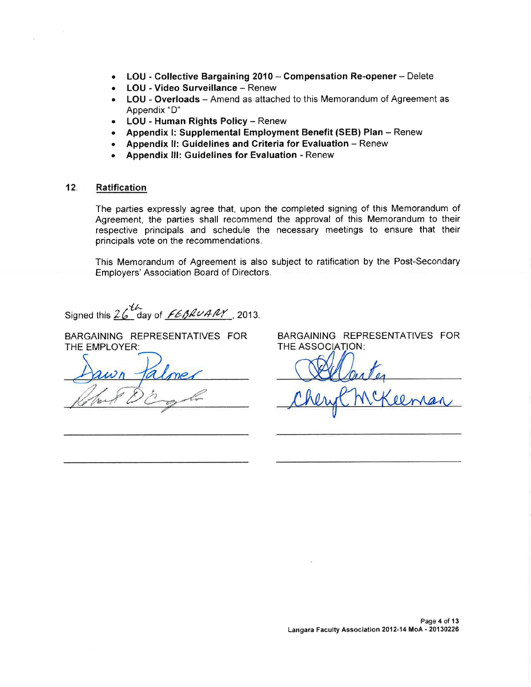- LOU Collective Bargaining 2010 Compensation Re-opener Delete
- LOU Video Surveillance Renew  $\bullet$
- LOU Overloads Amend as attached to this Memorandum of Agreement as Appendix "D"
- LOU Human Rights Policy Renew  $\bullet$
- Appendix I: Supplemental Employment Benefit (SEB) Plan Renew
- Appendix II: Guidelines and Criteria for Evaluation Renew
- Appendix III: Guidelines for Evaluation Renew

#### $12.$ **Ratification**

The parties expressly agree that, upon the completed signing of this Memorandum of Agreement, the parties shall recommend the approval of this Memorandum to their respective principals and schedule the necessary meetings to ensure that their principals vote on the recommendations.

This Memorandum of Agreement is also subject to ratification by the Post-Secondary Employers' Association Board of Directors.

Signed this  $26$  day of  $FEBRUANT$ , 2013.

BARGAINING REPRESENTATIVES FOR THE EMPLOYER:

BARGAINING REPRESENTATIVES FOR THE ASSOCIATION: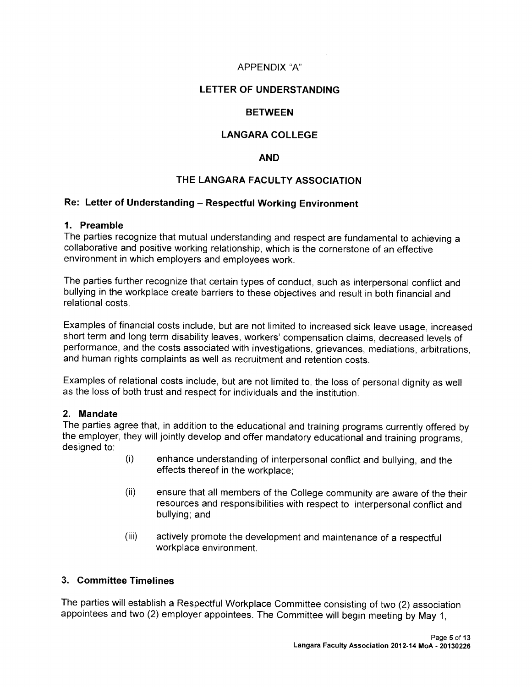## APPENDIX "A"

## LETTER OF UNDERSTANDING

### BETWEEN

## LANGARA COLLEGE

#### AND

## THE LANGARA FACULTY ASSOCIATION

# Re: Letter of Understanding — Respectful Working Environment

#### 1. Preamble

The parties recognize that mutual understanding and respect are fundamental to achieving <sup>a</sup> collaborative and positive working relationship, which is the cornerstone of an effective environment in which employers and employees work.

The parties further recognize that certain types of conduct, such as interpersonal conflict and bullying in the workplace create barriers to these objectives and result in both financial and relational costs.

Examples of financial costs include, but are not limited to increased sick leave usage, increased short term and long term disability leaves, workers' compensation claims, decreased levels of performance, and the costs associated with investigations, grievances, mediations, arbitrations, and human rights complaints as well as recruitment and retention costs.

Examples of relational costs include, but are not limited to, the loss of personal dignity as well as the loss of both trust and respect for individuals and the institution.

### 2. Mandate

The parties agree that, in addition to the educational and training programs currently offered by the employer, they will jointly develop and offer mandatory educational and training programs, designed to:

- (i) enhance understanding of interpersonal conflict and bullying, and the effects thereof in the workplace;
- (ii) ensure that all members of the College community are aware of the their resources and responsibilities with respect to interpersonal conflict and bullying; and
- (iii) actively promote the development and maintenance of <sup>a</sup> respectful workplace environment.

#### 3. Committee Timelines

The parties will establish <sup>a</sup> Respectful Workplace Committee consisting of two (2) association appointees and two (2) employer appointees. The Committee will begin meeting by May 1,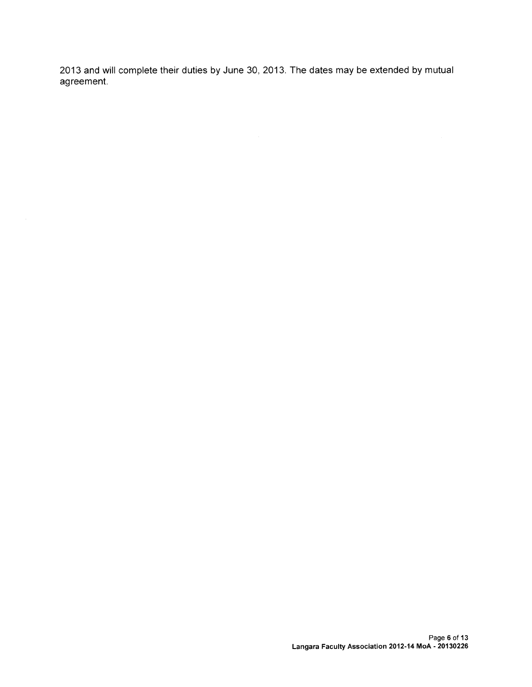2013 and will complete their duties by June 30, 2013. The dates may be extended by mutual agreement.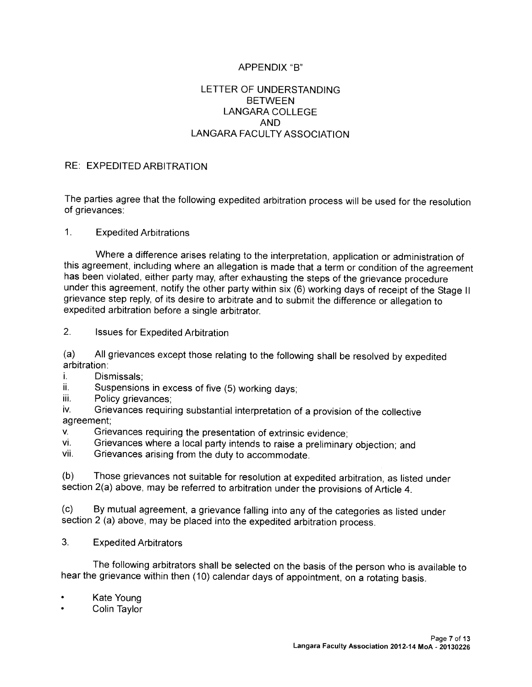# APPENDIX "B"

## LETTER OF UNDERSTANDING BETWEEN LANGARA COLLEGE AND LANGARA FACULTY ASSOCIATION

### RE: EXPEDITED ARBITRATION

The parties agree that the following expedited arbitration process will be used for the resolution of grievances:

#### 1. Expedited Arbitrations

Where <sup>a</sup> difference arises relating to the interpretation, application or administration of this agreement, including where an allegation is made that <sup>a</sup> term or condition of the agreement has been violated, either party may, after exhausting the steps of the grievance procedure under this agreement, notify the other party within six (6) working days of receipt of the Stage II grievance step reply, of its desire to arbitrate and to submit the difference or allegation to expedited arbitration before <sup>a</sup> single arbitrator.

2. Issues for Expedited Arbitration

(a) All grievances except those relating to the following shall be resolved by expedited arbitration:

- i. Dismissals;
- ii. Suspensions in excess of five (5) working days;<br>iii. Policy grievances:
- Policy grievances;

iv. Grievances requiring substantial interpretation of <sup>a</sup> provision of the collective agreement;

- v. Grievances requiring the presentation of extrinsic evidence;<br>vi. Grievances where a local party intends to raise a preliminary
- vi. Grievances where a local party intends to raise a preliminary objection; and<br>vii. Grievances arising from the duty to accommodate
- Grievances arising from the duty to accommodate.

(b) Those grievances not suitable for resolution at expedited arbitration, as listed under section 2(a) above, may be referred to arbitration under the provisions of Article 4.

(c) By mutual agreement, <sup>a</sup> grievance falling into any of the categories as listed under section <sup>2</sup> (a) above, may be <sup>p</sup>laced into the expedited arbitration process.

3. Expedited Arbitrators

The following arbitrators shall be selected on the basis of the person who is available to hear the grievance within then (10) calendar days of appointment, on <sup>a</sup> rotating basis.

- •Kate Young
- •Colin Taylor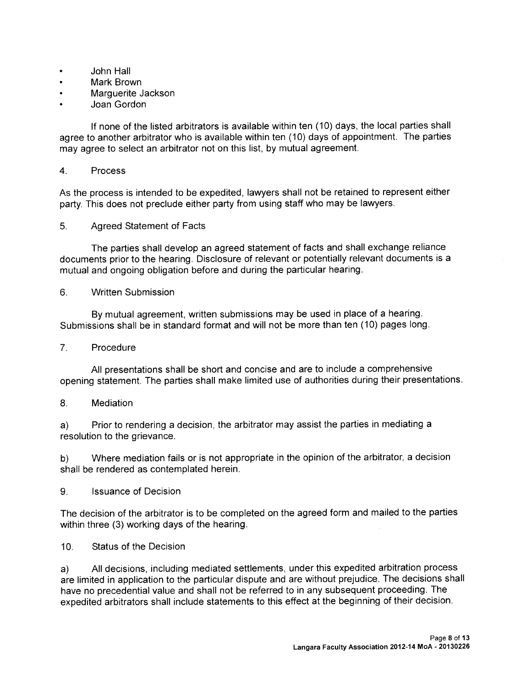- John Hall
- Mark Brown
- Marguerite Jackson
- Joan Gordon

If none of the listed arbitrators is available within ten (10) days, the local parties shall agree to another arbitrator who is available within ten (10) days of appointment. The parties may agree to select an arbitrator not on this list, by mutual agreement.

## 4. Process

As the process is intended to be expedited, lawyers shall not be retained to represent either party. This does not preclude either party from using staff who may be lawyers.

5. Agreed Statement of Facts

The parties shall develop an agreed statement of facts and shall exchange reliance documents prior to the hearing. Disclosure of relevant or potentially relevant documents is a mutual and ongoing obligation before and during the particular hearing.

6. Written Submission

By mutual agreement, written submissions may be used in place of a hearing. Submissions shall be in standard format and will not be more than ten (10) pages long.

## 7. Procedure

All presentations shall be short and concise and are to include a comprehensive opening statement. The parties shall make limited use of authorities during their presentations.

## 8. Mediation

a) Prior to rendering a decision, the arbitrator may assist the parties in mediating a resolution to the grievance.

b) Where mediation fails or is not appropriate in the opinion of the arbitrator, a decision shall be rendered as contemplated herein.

9. Issuance of Decision

The decision of the arbitrator is to be completed on the agreed form and mailed to the parties within three (3) working days of the hearing.

10. Status of the Decision

a) All decisions, including mediated settlements, under this expedited arbitration process are limited in application to the particular dispute and are without prejudice. The decisions shall have no precedential value and shall not be referred to in any subsequent proceeding. The expedited arbitrators shall include statements to this effect at the beginning of their decision.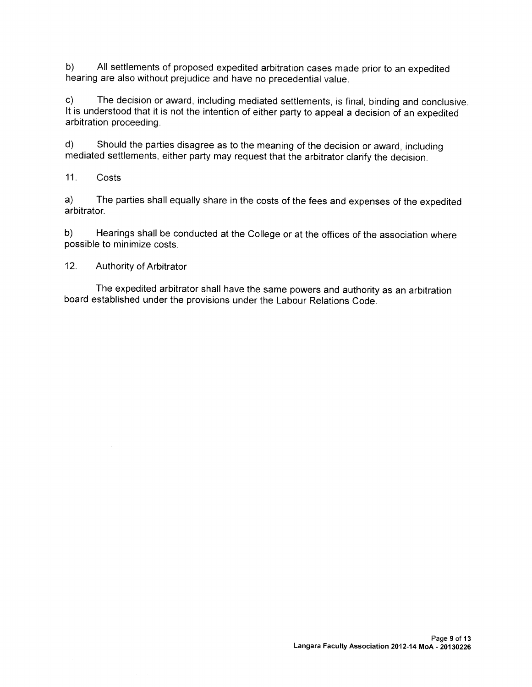b) All settlements of proposed expedited arbitration cases made prior to an expedited hearing are also without prejudice and have no precedential value.

c) The decision or award, including mediated settlements, is final, binding and conclusive. It is understood that it is not the intention of either party to appeal a decision of an expedited arbitration proceeding.

d) Should the parties disagree as to the meaning of the decision or award, including mediated settlements, either party may request that the arbitrator clarify the decision.

11. Costs

a) The parties shall equally share in the costs of the fees and expenses of the expedited arbitrator.

b) Hearings shall be conducted at the College or at the offices of the association where possible to minimize costs.

12. Authority of Arbitrator

The expedited arbitrator shall have the same powers and authority as an arbitration board established under the provisions under the Labour Relations Code.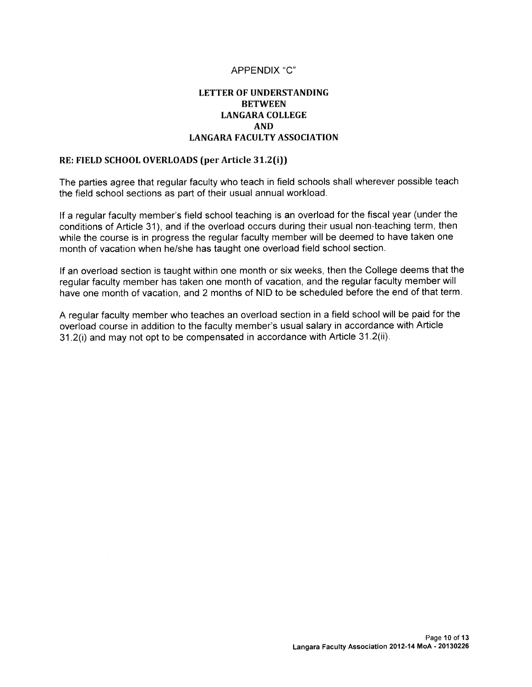## APPENDIX "C'

## LETTER OF UNDERSTANDING **BETWEEN** LANGARA COLLEGE AND LANGARA FACULTY ASSOCIATION

#### RE: FIELD SCHOOL OVERLOADS (per Article 31.2(i))

The parties agree that regular faculty who teach in field schools shall wherever possible teach the field school sections as part of their usual annual workload.

If a regular faculty member's field school teaching is an overload for the fiscal year (under the conditions of Article 31), and if the overload occurs during their usual non-teaching term, then while the course is in progress the regular faculty member will be deemed to have taken one month of vacation when he/she has taught one overload field school section.

If an overload section is taught within one month or six weeks, then the College deems that the regular faculty member has taken one month of vacation, and the regular faculty member will have one month of vacation, and 2 months of NID to be scheduled before the end of that term.

A regular faculty member who teaches an overload section in a field school will be paid for the overload course in addition to the faculty member's usual salary in accordance with Article 31.2(i) and may not opt to be compensated in accordance with Article 31.2(ii).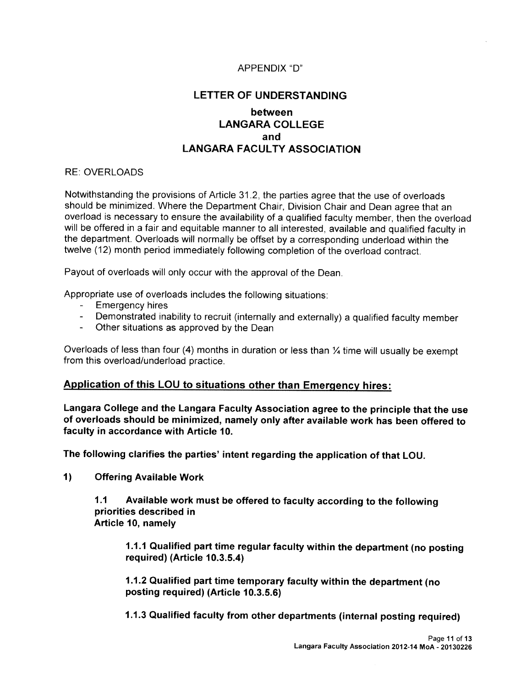## APPENDIX "D"

# LETTER OF UNDERSTANDING

# between LANGARA COLLEGE and LANGARA FACULTY ASSOCIATION

#### RE: OVERLOADS

Notwithstanding the provisions of Article 31.2, the parties agree that the use of overloads should be minimized. Where the Department Chair, Division Chair and Dean agree that an overload is necessary to ensure the availability of <sup>a</sup> qualified faculty member, then the overload will be offered in <sup>a</sup> fair and equitable manner to all interested, available and qualified faculty in the department. Overloads will normally be offset by <sup>a</sup> corresponding underload within the twelve (12) month period immediately following completion of the overload contract.

Payout of overloads will only occur with the approval of the Dean.

Appropriate use of overloads includes the following situations:

- Emergency hires
- Demonstrated inability to recruit (internally and externally) a qualified faculty member<br>- Other situations as approved by the Dean
- Other situations as approved by the Dean

Overloads of less than four (4) months in duration or less than  $\frac{1}{4}$  time will usually be exempt from this overload/underload practice.

## Application of this LOU to situations other than Emergency hires:

Langara College and the Langara Faculty Association agree to the principle that the use of overloads should be minimized, namely only after available work has been offered to faculty in accordance with Article 10.

The following clarifies the parties' intent regarding the application of that LOU.

1) Offering Available Work

1.1 Available work must be offered to faculty according to the following priorities described in Article 10, namely

1.1.1 Qualified part time regular faculty within the department (no posting required) (Article 10.3.5A)

1.1.2 Qualified part time temporary faculty within the department (no posting required) (Article 10.3.5.6)

1.1.3 Qualified faculty from other departments (internal posting required)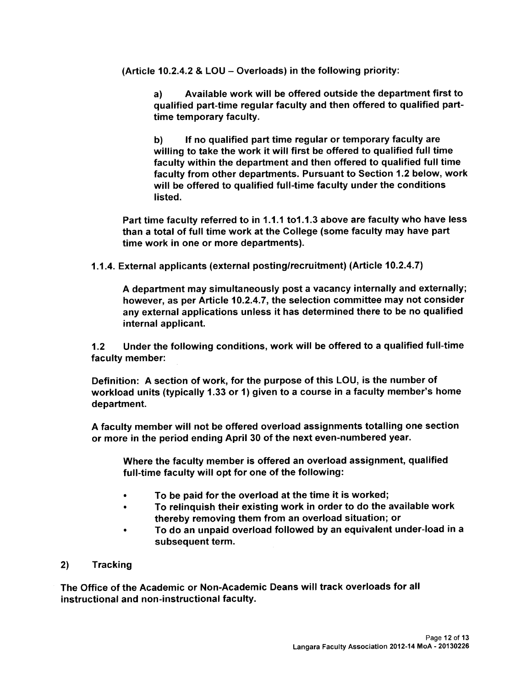(Article 10.2.4.2 & LOU — Overloads) in the following priority:

a) Available work will be offered outside the department first to qualified part-time regular faculty and then offered to qualified parttime temporary faculty.

b) If no qualified part time regular or temporary faculty are willing to take the work it will first be offered to qualified full time faculty within the department and then offered to qualified full time faculty from other departments. Pursuant to Section 1.2 below, work will be offered to qualified full-time faculty under the conditions listed.

Part time faculty referred to in 1.1.1 to 1.1.3 above are faculty who have less than a total of full time work at the College (some faculty may have part time work in one or more departments).

1.1.4. External applicants (external posting/recruitment) (Article 10.2.4.7)

A department may simultaneously post a vacancy internally and externally; however, as per Article 10.2.4.7, the selection committee may not consider any external applications unless it has determined there to be no qualified internal applicant.

1.2 Under the following conditions, work will be offered to a qualified full-time faculty member:

Definition: <sup>A</sup> section of work, for the purpose of this LOU, is the number of workload units (typically 1.33 or 1) given to a course in a faculty member's home department.

<sup>A</sup> faculty member will not be offered overload assignments totalling one section or more in the period ending April 30 of the next even-numbered year.

Where the faculty member is offered an overload assignment, qualified full-time faculty will opt for one of the following:

- To be paid for the overload at the time it is worked;
- To relinquish their existing work in order to do the available work thereby removing them from an overload situation; or
- To do an unpaid overload followed by an equivalent under-load in a subsequent term.
- 2) Tracking

The Office of the Academic or Non-Academic Deans will track overloads for all instructional and non-instructional faculty.